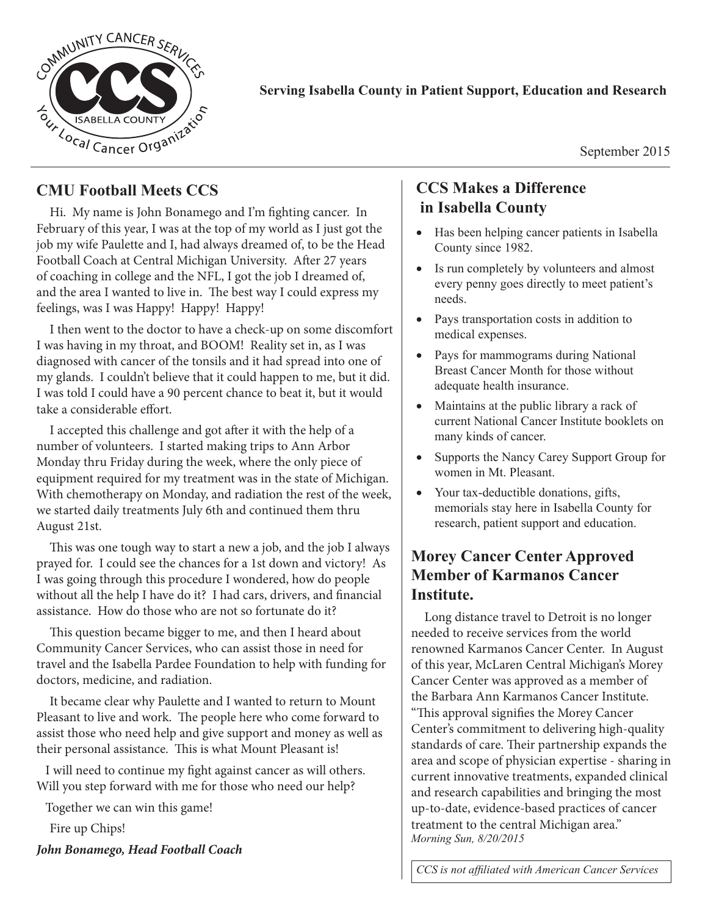

#### **Serving Isabella County in Patient Support, Education and Research**

September 2015

#### **CMU Football Meets CCS**

Hi. My name is John Bonamego and I'm fighting cancer. In February of this year, I was at the top of my world as I just got the job my wife Paulette and I, had always dreamed of, to be the Head Football Coach at Central Michigan University. After 27 years of coaching in college and the NFL, I got the job I dreamed of, and the area I wanted to live in. The best way I could express my feelings, was I was Happy! Happy! Happy!

I then went to the doctor to have a check-up on some discomfort I was having in my throat, and BOOM! Reality set in, as I was diagnosed with cancer of the tonsils and it had spread into one of my glands. I couldn't believe that it could happen to me, but it did. I was told I could have a 90 percent chance to beat it, but it would take a considerable effort.

I accepted this challenge and got after it with the help of a number of volunteers. I started making trips to Ann Arbor Monday thru Friday during the week, where the only piece of equipment required for my treatment was in the state of Michigan. With chemotherapy on Monday, and radiation the rest of the week, we started daily treatments July 6th and continued them thru August 21st.

This was one tough way to start a new a job, and the job I always prayed for. I could see the chances for a 1st down and victory! As I was going through this procedure I wondered, how do people without all the help I have do it? I had cars, drivers, and financial assistance. How do those who are not so fortunate do it?

This question became bigger to me, and then I heard about Community Cancer Services, who can assist those in need for travel and the Isabella Pardee Foundation to help with funding for doctors, medicine, and radiation.

It became clear why Paulette and I wanted to return to Mount Pleasant to live and work. The people here who come forward to assist those who need help and give support and money as well as their personal assistance. This is what Mount Pleasant is!

 I will need to continue my fight against cancer as will others. Will you step forward with me for those who need our help?

Together we can win this game!

Fire up Chips!

*John Bonamego, Head Football Coach*

#### **CCS Makes a Difference in Isabella County**

- Has been helping cancer patients in Isabella County since 1982.
- Is run completely by volunteers and almost every penny goes directly to meet patient's needs.
- Pays transportation costs in addition to medical expenses.
- Pays for mammograms during National Breast Cancer Month for those without adequate health insurance.
- Maintains at the public library a rack of current National Cancer Institute booklets on many kinds of cancer.
- Supports the Nancy Carey Support Group for women in Mt. Pleasant.
- Your tax-deductible donations, gifts, memorials stay here in Isabella County for research, patient support and education.

## **Morey Cancer Center Approved Member of Karmanos Cancer Institute.**

Long distance travel to Detroit is no longer needed to receive services from the world renowned Karmanos Cancer Center. In August of this year, McLaren Central Michigan's Morey Cancer Center was approved as a member of the Barbara Ann Karmanos Cancer Institute. "This approval signifies the Morey Cancer Center's commitment to delivering high-quality standards of care. Their partnership expands the area and scope of physician expertise - sharing in current innovative treatments, expanded clinical and research capabilities and bringing the most up-to-date, evidence-based practices of cancer treatment to the central Michigan area." *Morning Sun, 8/20/2015*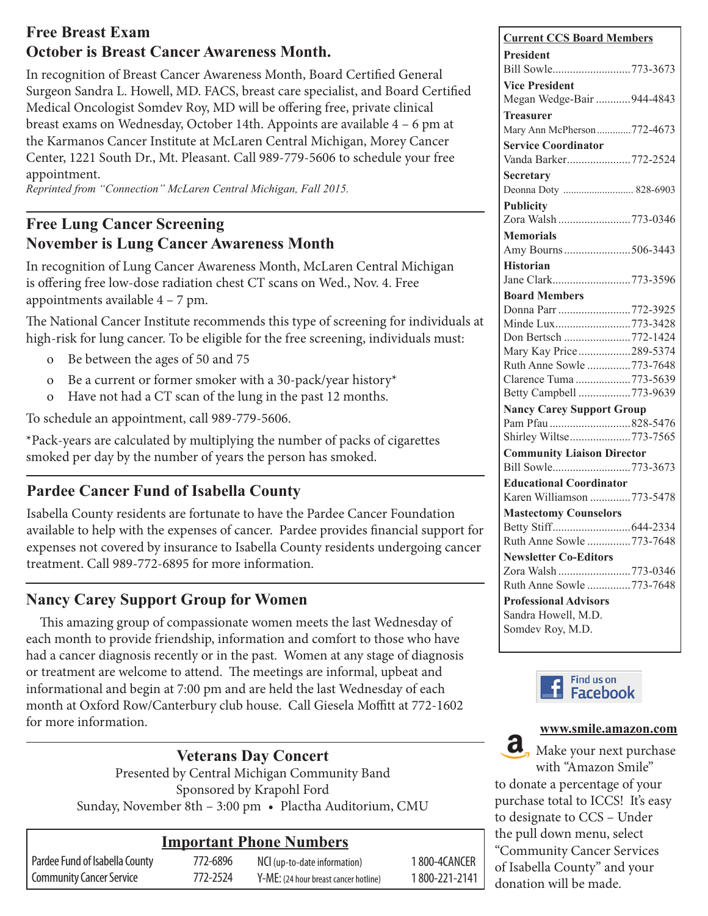## **Free Breast Exam October is Breast Cancer Awareness Month.**

In recognition of Breast Cancer Awareness Month, Board Certified General Surgeon Sandra L. Howell, MD. FACS, breast care specialist, and Board Certified Medical Oncologist Somdev Roy, MD will be offering free, private clinical breast exams on Wednesday, October 14th. Appoints are available 4 – 6 pm at the Karmanos Cancer Institute at McLaren Central Michigan, Morey Cancer Center, 1221 South Dr., Mt. Pleasant. Call 989-779-5606 to schedule your free appointment.

*Reprinted from "Connection" McLaren Central Michigan, Fall 2015.*

# **Free Lung Cancer Screening November is Lung Cancer Awareness Month**

In recognition of Lung Cancer Awareness Month, McLaren Central Michigan is offering free low-dose radiation chest CT scans on Wed., Nov. 4. Free appointments available 4 – 7 pm.

The National Cancer Institute recommends this type of screening for individuals at high-risk for lung cancer. To be eligible for the free screening, individuals must:

- o Be between the ages of 50 and 75
- o Be a current or former smoker with a 30-pack/year history\*
- o Have not had a CT scan of the lung in the past 12 months.

To schedule an appointment, call 989-779-5606.

\*Pack-years are calculated by multiplying the number of packs of cigarettes smoked per day by the number of years the person has smoked.

## **Pardee Cancer Fund of Isabella County**

Isabella County residents are fortunate to have the Pardee Cancer Foundation available to help with the expenses of cancer. Pardee provides financial support for expenses not covered by insurance to Isabella County residents undergoing cancer treatment. Call 989-772-6895 for more information.

## **Nancy Carey Support Group for Women**

This amazing group of compassionate women meets the last Wednesday of each month to provide friendship, information and comfort to those who have had a cancer diagnosis recently or in the past. Women at any stage of diagnosis or treatment are welcome to attend. The meetings are informal, upbeat and informational and begin at 7:00 pm and are held the last Wednesday of each month at Oxford Row/Canterbury club house. Call Giesela Moffitt at 772-1602 for more information.

#### **Veterans Day Concert**

Presented by Central Michigan Community Band Sponsored by Krapohl Ford Sunday, November 8th – 3:00 pm • Plactha Auditorium, CMU

#### **Important Phone Numbers**

Pardee Fund of Isabella County 772-6896 Community Cancer Service 772-2524

NCI (up-to-date information) 1 800-4CANCER Y-ME: (24 hour breast cancer hotline) 1 800-221-2141

|         | <b>Current CCS Board Members</b>  |
|---------|-----------------------------------|
|         | <b>President</b>                  |
|         |                                   |
| fied    | <b>Vice President</b>             |
|         | Megan Wedge-Bair 944-4843         |
|         | <b>Treasurer</b>                  |
|         | Mary Ann McPherson772-4673        |
|         | <b>Service Coordinator</b>        |
|         | Vanda Barker772-2524              |
|         | <b>Secretary</b>                  |
|         | Deonna Doty  828-6903             |
|         | <b>Publicity</b>                  |
|         | Zora Walsh 773-0346               |
|         | <b>Memorials</b>                  |
|         | Amy Bourns506-3443                |
|         | <b>Historian</b>                  |
|         |                                   |
|         | <b>Board Members</b>              |
|         | Donna Parr 772-3925               |
| ıals at | Minde Lux773-3428                 |
| st:     | Don Bertsch 772-1424              |
|         | Mary Kay Price289-5374            |
|         | Ruth Anne Sowle 773-7648          |
|         | Clarence Tuma 773-5639            |
|         | Betty Campbell 773-9639           |
|         | <b>Nancy Carey Support Group</b>  |
|         | Pam Pfau 828-5476                 |
|         | Shirley Wiltse 773-7565           |
|         | <b>Community Liaison Director</b> |
|         | Bill Sowle773-3673                |
|         | <b>Educational Coordinator</b>    |
|         | Karen Williamson 773-5478         |
|         | <b>Mastectomy Counselors</b>      |
| rt for  |                                   |
| ancer   | Ruth Anne Sowle 773-7648          |
|         | <b>Newsletter Co-Editors</b>      |
|         | Zora Walsh 773-0346               |
|         | Ruth Anne Sowle 773-7648          |
|         | <b>Professional Advisors</b>      |
|         | Sandra Howell, M.D.               |
|         | Somdev Roy, M.D.                  |





www. to donate a percentage of your "Amazon Smile" to donate a purchase total to ICCS! It's easy to designate to b to designate to CCS – Under the pull down menu, select Services of Isabella County" and "Community Cancer Services" Make your next purchase with "Amazon Smile" of Isabella County" and your donation will be made.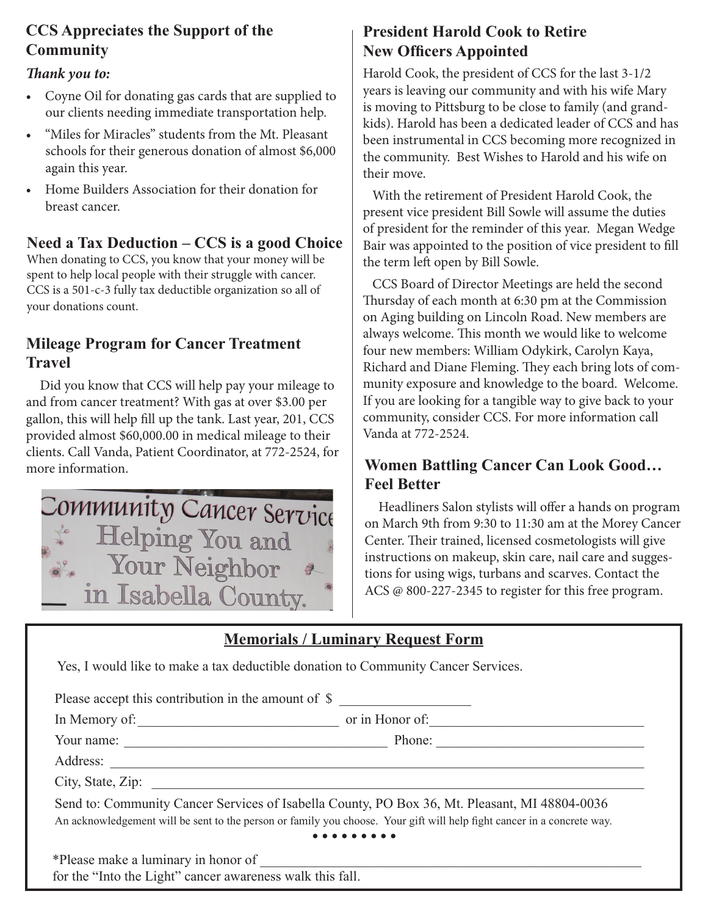# **CCS Appreciates the Support of the Community**

#### *Thank you to:*

- Coyne Oil for donating gas cards that are supplied to our clients needing immediate transportation help.
- "Miles for Miracles" students from the Mt. Pleasant schools for their generous donation of almost \$6,000 again this year.
- Home Builders Association for their donation for breast cancer.

#### **Need a Tax Deduction – CCS is a good Choice**

When donating to CCS, you know that your money will be spent to help local people with their struggle with cancer. CCS is a 501-c-3 fully tax deductible organization so all of your donations count.

#### **Mileage Program for Cancer Treatment Travel**

Did you know that CCS will help pay your mileage to and from cancer treatment? With gas at over \$3.00 per gallon, this will help fill up the tank. Last year, 201, CCS provided almost \$60,000.00 in medical mileage to their clients. Call Vanda, Patient Coordinator, at 772-2524, for more information.



# **President Harold Cook to Retire New Officers Appointed**

Harold Cook, the president of CCS for the last 3-1/2 years is leaving our community and with his wife Mary is moving to Pittsburg to be close to family (and grandkids). Harold has been a dedicated leader of CCS and has been instrumental in CCS becoming more recognized in the community. Best Wishes to Harold and his wife on their move.

 With the retirement of President Harold Cook, the present vice president Bill Sowle will assume the duties of president for the reminder of this year. Megan Wedge Bair was appointed to the position of vice president to fill the term left open by Bill Sowle.

 CCS Board of Director Meetings are held the second Thursday of each month at 6:30 pm at the Commission on Aging building on Lincoln Road. New members are always welcome. This month we would like to welcome four new members: William Odykirk, Carolyn Kaya, Richard and Diane Fleming. They each bring lots of community exposure and knowledge to the board. Welcome. If you are looking for a tangible way to give back to your community, consider CCS. For more information call Vanda at 772-2524.

## **Women Battling Cancer Can Look Good… Feel Better**

Headliners Salon stylists will offer a hands on program on March 9th from 9:30 to 11:30 am at the Morey Cancer Center. Their trained, licensed cosmetologists will give instructions on makeup, skin care, nail care and suggestions for using wigs, turbans and scarves. Contact the ACS @ 800-227-2345 to register for this free program.

## **Memorials / Luminary Request Form**

Yes, I would like to make a tax deductible donation to Community Cancer Services.

Please accept this contribution in the amount of \$ In Memory of:  $\Box$  or in Honor of: Your name: \_\_\_\_\_\_\_\_\_\_\_\_\_\_\_\_\_\_\_\_\_\_\_\_\_\_\_\_\_\_\_\_\_\_\_\_\_\_ Phone: \_\_\_\_\_\_\_\_\_\_\_\_\_\_\_\_\_\_\_\_\_\_\_\_\_\_\_\_\_\_ Address: City, State, Zip: Send to: Community Cancer Services of Isabella County, PO Box 36, Mt. Pleasant, MI 48804-0036 An acknowledgement will be sent to the person or family you choose. Your gift will help fight cancer in a concrete way.  $\bullet\bullet\bullet\bullet\bullet$ \*Please make a luminary in honor of \_\_\_\_\_\_\_\_\_\_\_\_\_\_\_\_\_\_\_\_\_\_\_\_\_\_\_\_\_\_\_\_\_\_\_\_\_\_\_\_\_\_\_\_\_\_\_\_\_\_\_\_\_\_\_ for the "Into the Light" cancer awareness walk this fall.